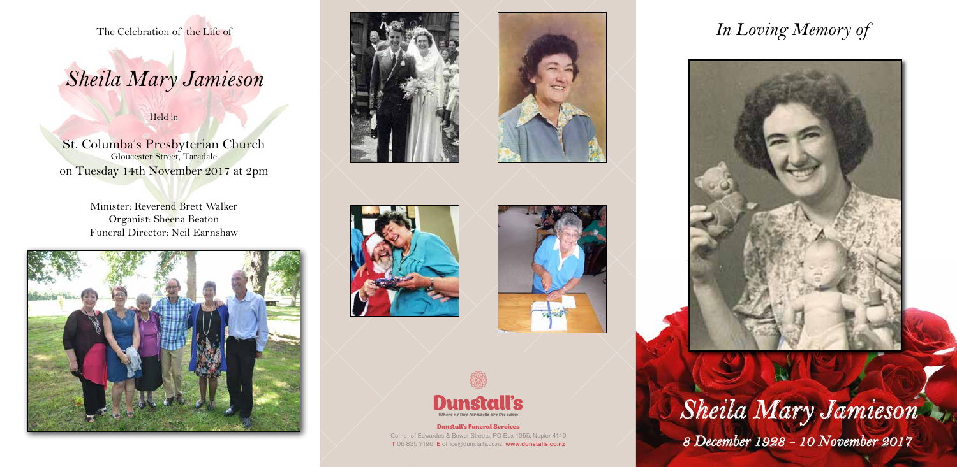#### Dunstall's Funeral Services

Corner of Edwardes & Bower Streets, PO Box 1055, Napier 4140 T 06 835 7196 E office@dunstalls.co.nz www.dunstalls.co.nz

The Celebration of the Life of

# *Sheila Mary Jamieson*

Held in

St. Columba's Presbyterian Church Gloucester Street, Taradale on Tuesday 14th November 2017 at 2pm

> Minister: Reverend Brett Walker Organist: Sheena Beaton Funeral Director: Neil Earnshaw













*Sheila Mary Jamieson 8 December 1928 - 10 November 2017*

## *In Loving Memory of*